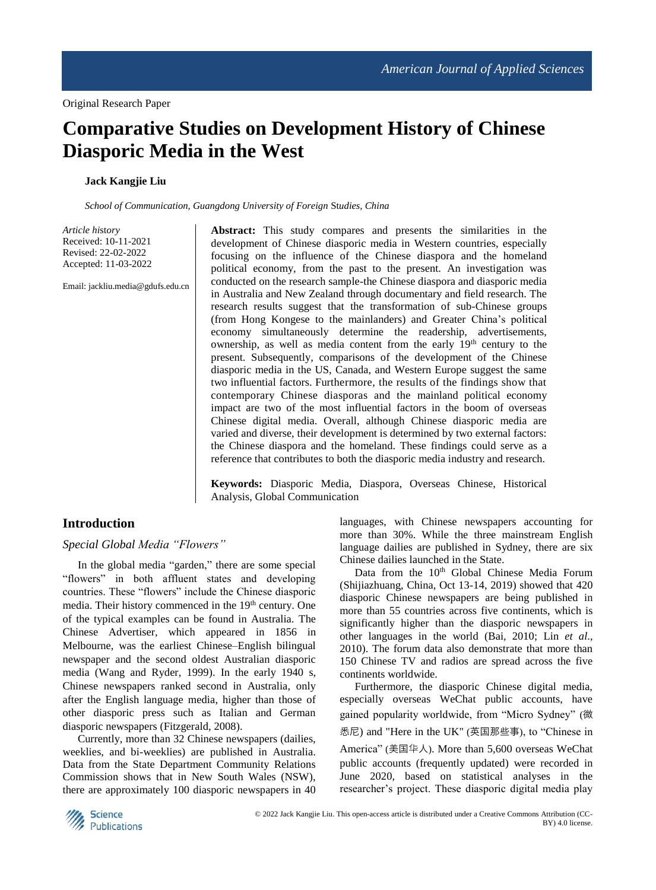# **Comparative Studies on Development History of Chinese Diasporic Media in the West**

### **Jack Kangjie Liu**

*School of Communication, Guangdong University of Foreign* St*udies, China*

*Article hi*st*ory* Received: 10-11-2021 Revised: 22-02-2022 Accepted: 11-03-2022

Email: jackliu.media@gdufs.edu.cn

**Abstract:** This study compares and presents the similarities in the development of Chinese diasporic media in Western countries, especially focusing on the influence of the Chinese diaspora and the homeland political economy, from the past to the present. An investigation was conducted on the research sample-the Chinese diaspora and diasporic media in Australia and New Zealand through documentary and field research. The research results suggest that the transformation of sub-Chinese groups (from Hong Kongese to the mainlanders) and Greater China's political economy simultaneously determine the readership, advertisements, ownership, as well as media content from the early 19<sup>th</sup> century to the present. Subsequently, comparisons of the development of the Chinese diasporic media in the US, Canada, and Western Europe suggest the same two influential factors. Furthermore, the results of the findings show that contemporary Chinese diasporas and the mainland political economy impact are two of the most influential factors in the boom of overseas Chinese digital media. Overall, although Chinese diasporic media are varied and diverse, their development is determined by two external factors: the Chinese diaspora and the homeland. These findings could serve as a reference that contributes to both the diasporic media industry and research.

**Keywords:** Diasporic Media, Diaspora, Overseas Chinese, Historical Analysis, Global Communication

# **Introduction**

#### *Special Global Media "Flowers"*

In the global media "garden," there are some special "flowers" in both affluent states and developing countries. These "flowers" include the Chinese diasporic media. Their history commenced in the 19<sup>th</sup> century. One of the typical examples can be found in Australia. The Chinese Advertiser*,* which appeared in 1856 in Melbourne, was the earliest Chinese–English bilingual newspaper and the second oldest Australian diasporic media (Wang and Ryder, 1999). In the early 1940 s, Chinese newspapers ranked second in Australia, only after the English language media, higher than those of other diasporic press such as Italian and German diasporic newspapers (Fitzgerald, 2008).

Currently, more than 32 Chinese newspapers (dailies, weeklies, and bi-weeklies) are published in Australia. Data from the State Department Community Relations Commission shows that in New South Wales (NSW), there are approximately 100 diasporic newspapers in 40

languages, with Chinese newspapers accounting for more than 30%. While the three mainstream English language dailies are published in Sydney, there are six Chinese dailies launched in the State.

Data from the 10<sup>th</sup> Global Chinese Media Forum (Shijiazhuang, China, Oct 13-14, 2019) showed that 420 diasporic Chinese newspapers are being published in more than 55 countries across five continents, which is significantly higher than the diasporic newspapers in other languages in the world (Bai, 2010; Lin *et al*., 2010). The forum data also demonstrate that more than 150 Chinese TV and radios are spread across the five continents worldwide.

Furthermore, the diasporic Chinese digital media, especially overseas WeChat public accounts, have gained popularity worldwide, from "Micro Sydney" (微 悉尼) and "Here in the UK" (英国那些事), to "Chinese in America" (美国华人). More than 5,600 overseas WeChat public accounts (frequently updated) were recorded in June 2020, based on statistical analyses in the researcher's project. These diasporic digital media play

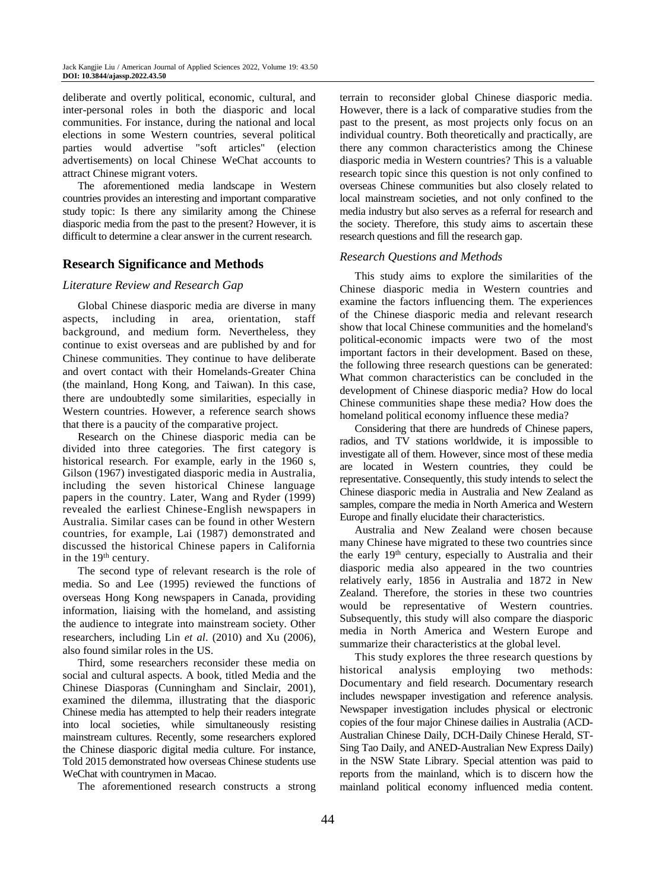deliberate and overtly political, economic, cultural, and inter-personal roles in both the diasporic and local communities. For instance, during the national and local elections in some Western countries, several political parties would advertise "soft articles" (election advertisements) on local Chinese WeChat accounts to attract Chinese migrant voters.

The aforementioned media landscape in Western countries provides an interesting and important comparative study topic: Is there any similarity among the Chinese diasporic media from the past to the present? However, it is difficult to determine a clear answer in the current research.

## **Research Significance and Methods**

#### *Literature Review and Research Gap*

Global Chinese diasporic media are diverse in many aspects, including in area, orientation, staff background, and medium form. Nevertheless, they continue to exist overseas and are published by and for Chinese communities. They continue to have deliberate and overt contact with their Homelands-Greater China (the mainland, Hong Kong, and Taiwan). In this case, there are undoubtedly some similarities, especially in Western countries. However, a reference search shows that there is a paucity of the comparative project.

Research on the Chinese diasporic media can be divided into three categories. The first category is historical research. For example, early in the 1960 s, Gilson (1967) investigated diasporic media in Australia, including the seven historical Chinese language papers in the country. Later, Wang and Ryder (1999) revealed the earliest Chinese-English newspapers in Australia. Similar cases can be found in other Western countries, for example, Lai (1987) demonstrated and discussed the historical Chinese papers in California in the 19<sup>th</sup> century.

The second type of relevant research is the role of media. So and Lee (1995) reviewed the functions of overseas Hong Kong newspapers in Canada, providing information, liaising with the homeland, and assisting the audience to integrate into mainstream society. Other researchers, including Lin *et al*. (2010) and Xu (2006), also found similar roles in the US.

Third, some researchers reconsider these media on social and cultural aspects. A book, titled Media and the Chinese Diasporas (Cunningham and Sinclair, 2001), examined the dilemma, illustrating that the diasporic Chinese media has attempted to help their readers integrate into local societies, while simultaneously resisting mainstream cultures. Recently, some researchers explored the Chinese diasporic digital media culture. For instance, Told 2015 demonstrated how overseas Chinese students use WeChat with countrymen in Macao.

The aforementioned research constructs a strong

terrain to reconsider global Chinese diasporic media. However, there is a lack of comparative studies from the past to the present, as most projects only focus on an individual country. Both theoretically and practically, are there any common characteristics among the Chinese diasporic media in Western countries? This is a valuable research topic since this question is not only confined to overseas Chinese communities but also closely related to local mainstream societies, and not only confined to the media industry but also serves as a referral for research and the society. Therefore, this study aims to ascertain these research questions and fill the research gap.

#### *Research Que*st*ions and Methods*

This study aims to explore the similarities of the Chinese diasporic media in Western countries and examine the factors influencing them. The experiences of the Chinese diasporic media and relevant research show that local Chinese communities and the homeland's political-economic impacts were two of the most important factors in their development. Based on these, the following three research questions can be generated: What common characteristics can be concluded in the development of Chinese diasporic media? How do local Chinese communities shape these media? How does the homeland political economy influence these media?

Considering that there are hundreds of Chinese papers, radios, and TV stations worldwide, it is impossible to investigate all of them. However, since most of these media are located in Western countries, they could be representative. Consequently, this study intends to select the Chinese diasporic media in Australia and New Zealand as samples, compare the media in North America and Western Europe and finally elucidate their characteristics.

Australia and New Zealand were chosen because many Chinese have migrated to these two countries since the early 19th century, especially to Australia and their diasporic media also appeared in the two countries relatively early, 1856 in Australia and 1872 in New Zealand. Therefore, the stories in these two countries would be representative of Western countries. Subsequently, this study will also compare the diasporic media in North America and Western Europe and summarize their characteristics at the global level.

This study explores the three research questions by historical analysis employing two methods: Documentary and field research. Documentary research includes newspaper investigation and reference analysis. Newspaper investigation includes physical or electronic copies of the four major Chinese dailies in Australia (ACD*-*Australian Chinese Daily, DCH-Daily Chinese Herald, ST-Sing Tao Daily, and ANED-Australian New Express Daily) in the NSW State Library. Special attention was paid to reports from the mainland, which is to discern how the mainland political economy influenced media content.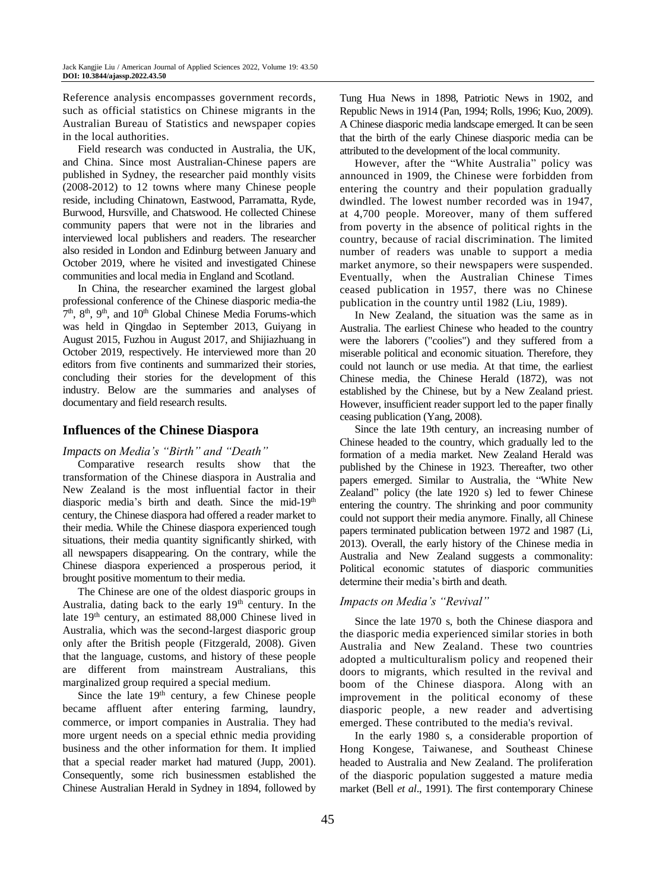Reference analysis encompasses government records, such as official statistics on Chinese migrants in the Australian Bureau of Statistics and newspaper copies in the local authorities.

Field research was conducted in Australia, the UK, and China. Since most Australian-Chinese papers are published in Sydney, the researcher paid monthly visits (2008-2012) to 12 towns where many Chinese people reside, including Chinatown, Eastwood, Parramatta, Ryde, Burwood, Hursville, and Chatswood. He collected Chinese community papers that were not in the libraries and interviewed local publishers and readers. The researcher also resided in London and Edinburg between January and October 2019, where he visited and investigated Chinese communities and local media in England and Scotland.

In China, the researcher examined the largest global professional conference of the Chinese diasporic media-the 7<sup>th</sup>, 8<sup>th</sup>, 9<sup>th</sup>, and 10<sup>th</sup> Global Chinese Media Forums-which was held in Qingdao in September 2013, Guiyang in August 2015, Fuzhou in August 2017, and Shijiazhuang in October 2019, respectively. He interviewed more than 20 editors from five continents and summarized their stories, concluding their stories for the development of this industry. Below are the summaries and analyses of documentary and field research results.

## **Influences of the Chinese Diaspora**

### *Impacts on Media's "Birth" and "Death"*

Comparative research results show that the transformation of the Chinese diaspora in Australia and New Zealand is the most influential factor in their diasporic media's birth and death. Since the mid-19<sup>th</sup> century, the Chinese diaspora had offered a reader market to their media. While the Chinese diaspora experienced tough situations, their media quantity significantly shirked, with all newspapers disappearing. On the contrary, while the Chinese diaspora experienced a prosperous period, it brought positive momentum to their media.

The Chinese are one of the oldest diasporic groups in Australia, dating back to the early  $19<sup>th</sup>$  century. In the late 19th century, an estimated 88,000 Chinese lived in Australia, which was the second-largest diasporic group only after the British people (Fitzgerald, 2008). Given that the language, customs, and history of these people are different from mainstream Australians, this marginalized group required a special medium.

Since the late  $19<sup>th</sup>$  century, a few Chinese people became affluent after entering farming, laundry, commerce, or import companies in Australia. They had more urgent needs on a special ethnic media providing business and the other information for them. It implied that a special reader market had matured (Jupp, 2001). Consequently, some rich businessmen established the Chinese Australian Herald in Sydney in 1894, followed by Tung Hua News in 1898, Patriotic News in 1902, and Republic News in 1914 (Pan, 1994; Rolls, 1996; Kuo, 2009). A Chinese diasporic media landscape emerged. It can be seen that the birth of the early Chinese diasporic media can be attributed to the development of the local community.

However, after the "White Australia" policy was announced in 1909, the Chinese were forbidden from entering the country and their population gradually dwindled. The lowest number recorded was in 1947, at 4,700 people. Moreover, many of them suffered from poverty in the absence of political rights in the country, because of racial discrimination. The limited number of readers was unable to support a media market anymore, so their newspapers were suspended. Eventually, when the Australian Chinese Times ceased publication in 1957, there was no Chinese publication in the country until 1982 (Liu, 1989).

In New Zealand, the situation was the same as in Australia. The earliest Chinese who headed to the country were the laborers ("coolies") and they suffered from a miserable political and economic situation. Therefore, they could not launch or use media. At that time, the earliest Chinese media, the Chinese Herald (1872), was not established by the Chinese, but by a New Zealand priest. However, insufficient reader support led to the paper finally ceasing publication (Yang, 2008).

Since the late 19th century, an increasing number of Chinese headed to the country, which gradually led to the formation of a media market. New Zealand Herald was published by the Chinese in 1923. Thereafter, two other papers emerged. Similar to Australia, the "White New Zealand" policy (the late 1920 s) led to fewer Chinese entering the country. The shrinking and poor community could not support their media anymore. Finally, all Chinese papers terminated publication between 1972 and 1987 (Li, 2013). Overall, the early history of the Chinese media in Australia and New Zealand suggests a commonality: Political economic statutes of diasporic communities determine their media's birth and death.

#### *Impacts on Media's "Revival"*

Since the late 1970 s, both the Chinese diaspora and the diasporic media experienced similar stories in both Australia and New Zealand. These two countries adopted a multiculturalism policy and reopened their doors to migrants, which resulted in the revival and boom of the Chinese diaspora. Along with an improvement in the political economy of these diasporic people, a new reader and advertising emerged. These contributed to the media's revival.

In the early 1980 s, a considerable proportion of Hong Kongese, Taiwanese, and Southeast Chinese headed to Australia and New Zealand. The proliferation of the diasporic population suggested a mature media market (Bell *et al*., 1991). The first contemporary Chinese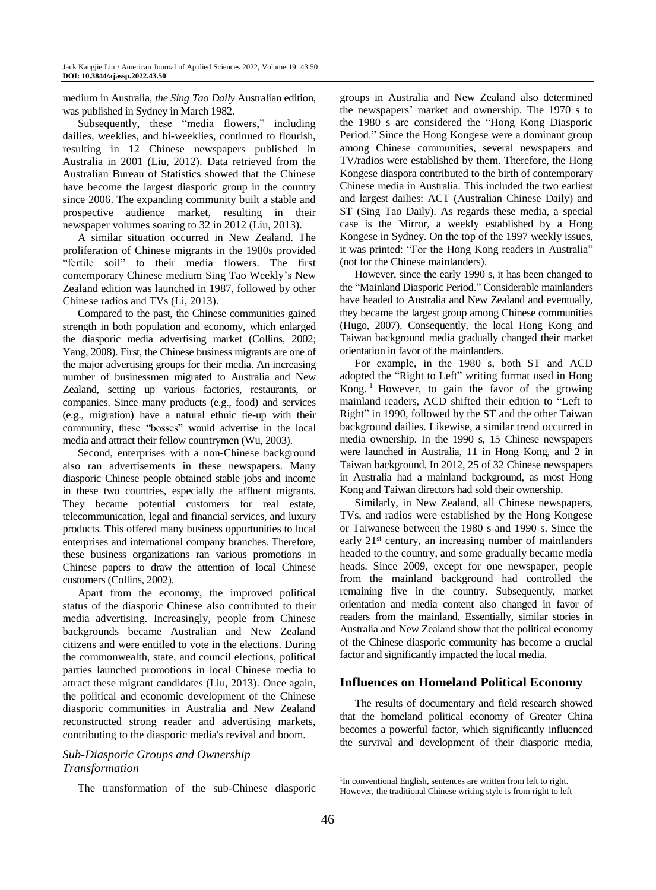medium in Australia, *the Sing Tao Daily* Australian edition, was published in Sydney in March 1982.

Subsequently, these "media flowers," including dailies, weeklies, and bi-weeklies, continued to flourish, resulting in 12 Chinese newspapers published in Australia in 2001 (Liu, 2012). Data retrieved from the Australian Bureau of Statistics showed that the Chinese have become the largest diasporic group in the country since 2006. The expanding community built a stable and prospective audience market, resulting in their newspaper volumes soaring to 32 in 2012 (Liu, 2013).

A similar situation occurred in New Zealand. The proliferation of Chinese migrants in the 1980s provided "fertile soil" to their media flowers. The first contemporary Chinese medium Sing Tao Weekly's New Zealand edition was launched in 1987, followed by other Chinese radios and TVs (Li, 2013).

Compared to the past, the Chinese communities gained strength in both population and economy, which enlarged the diasporic media advertising market (Collins, 2002; Yang, 2008). First, the Chinese business migrants are one of the major advertising groups for their media. An increasing number of businessmen migrated to Australia and New Zealand, setting up various factories, restaurants, or companies. Since many products (e.g., food) and services (e.g., migration) have a natural ethnic tie-up with their community, these "bosses" would advertise in the local media and attract their fellow countrymen (Wu, 2003).

Second, enterprises with a non-Chinese background also ran advertisements in these newspapers. Many diasporic Chinese people obtained stable jobs and income in these two countries, especially the affluent migrants. They became potential customers for real estate, telecommunication, legal and financial services, and luxury products. This offered many business opportunities to local enterprises and international company branches. Therefore, these business organizations ran various promotions in Chinese papers to draw the attention of local Chinese customers (Collins, 2002).

Apart from the economy, the improved political status of the diasporic Chinese also contributed to their media advertising. Increasingly, people from Chinese backgrounds became Australian and New Zealand citizens and were entitled to vote in the elections. During the commonwealth, state, and council elections, political parties launched promotions in local Chinese media to attract these migrant candidates (Liu, 2013). Once again, the political and economic development of the Chinese diasporic communities in Australia and New Zealand reconstructed strong reader and advertising markets, contributing to the diasporic media's revival and boom.

# *Sub-Diasporic Groups and Ownership Transformation*

The transformation of the sub-Chinese diasporic

groups in Australia and New Zealand also determined the newspapers' market and ownership. The 1970 s to the 1980 s are considered the "Hong Kong Diasporic Period." Since the Hong Kongese were a dominant group among Chinese communities, several newspapers and TV/radios were established by them. Therefore, the Hong Kongese diaspora contributed to the birth of contemporary Chinese media in Australia. This included the two earliest and largest dailies: ACT (Australian Chinese Daily) and ST (Sing Tao Daily). As regards these media, a special case is the Mirror, a weekly established by a Hong Kongese in Sydney. On the top of the 1997 weekly issues, it was printed: "For the Hong Kong readers in Australia" (not for the Chinese mainlanders).

However, since the early 1990 s, it has been changed to the "Mainland Diasporic Period." Considerable mainlanders have headed to Australia and New Zealand and eventually, they became the largest group among Chinese communities (Hugo, 2007). Consequently, the local Hong Kong and Taiwan background media gradually changed their market orientation in favor of the mainlanders.

For example, in the 1980 s, both ST and ACD adopted the "Right to Left" writing format used in Hong Kong. <sup>1</sup> However, to gain the favor of the growing mainland readers, ACD shifted their edition to "Left to Right" in 1990, followed by the ST and the other Taiwan background dailies. Likewise, a similar trend occurred in media ownership. In the 1990 s, 15 Chinese newspapers were launched in Australia, 11 in Hong Kong, and 2 in Taiwan background. In 2012, 25 of 32 Chinese newspapers in Australia had a mainland background, as most Hong Kong and Taiwan directors had sold their ownership.

Similarly, in New Zealand, all Chinese newspapers, TVs, and radios were established by the Hong Kongese or Taiwanese between the 1980 s and 1990 s. Since the early 21<sup>st</sup> century, an increasing number of mainlanders headed to the country, and some gradually became media heads. Since 2009, except for one newspaper, people from the mainland background had controlled the remaining five in the country. Subsequently, market orientation and media content also changed in favor of readers from the mainland. Essentially, similar stories in Australia and New Zealand show that the political economy of the Chinese diasporic community has become a crucial factor and significantly impacted the local media.

# **Influences on Homeland Political Economy**

The results of documentary and field research showed that the homeland political economy of Greater China becomes a powerful factor, which significantly influenced the survival and development of their diasporic media,

1

<sup>&</sup>lt;sup>1</sup>In conventional English, sentences are written from left to right. However, the traditional Chinese writing style is from right to left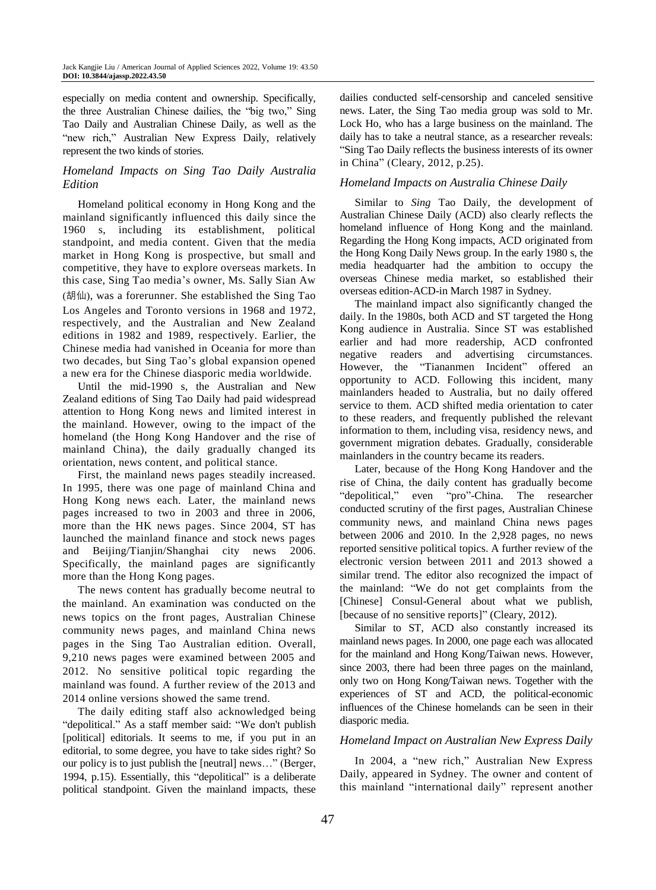especially on media content and ownership. Specifically, the three Australian Chinese dailies, the "big two," Sing Tao Daily and Australian Chinese Daily, as well as the "new rich," Australian New Express Daily, relatively represent the two kinds of stories.

## *Homeland Impacts on Sing Tao Daily Au*st*ralia Edition*

Homeland political economy in Hong Kong and the mainland significantly influenced this daily since the 1960 s, including its establishment, political standpoint, and media content. Given that the media market in Hong Kong is prospective, but small and competitive, they have to explore overseas markets. In this case, Sing Tao media's owner, Ms. Sally Sian Aw (胡仙), was a forerunner. She established the Sing Tao Los Angeles and Toronto versions in 1968 and 1972, respectively, and the Australian and New Zealand editions in 1982 and 1989, respectively. Earlier, the Chinese media had vanished in Oceania for more than two decades, but Sing Tao's global expansion opened a new era for the Chinese diasporic media worldwide.

Until the mid-1990 s, the Australian and New Zealand editions of Sing Tao Daily had paid widespread attention to Hong Kong news and limited interest in the mainland. However, owing to the impact of the homeland (the Hong Kong Handover and the rise of mainland China), the daily gradually changed its orientation, news content, and political stance.

First, the mainland news pages steadily increased. In 1995, there was one page of mainland China and Hong Kong news each. Later, the mainland news pages increased to two in 2003 and three in 2006, more than the HK news pages. Since 2004, ST has launched the mainland finance and stock news pages and Beijing/Tianjin/Shanghai city news 2006. Specifically, the mainland pages are significantly more than the Hong Kong pages.

The news content has gradually become neutral to the mainland. An examination was conducted on the news topics on the front pages, Australian Chinese community news pages, and mainland China news pages in the Sing Tao Australian edition. Overall, 9,210 news pages were examined between 2005 and 2012. No sensitive political topic regarding the mainland was found. A further review of the 2013 and 2014 online versions showed the same trend.

The daily editing staff also acknowledged being "depolitical." As a staff member said: "We don't publish [political] editorials. It seems to me, if you put in an editorial, to some degree, you have to take sides right? So our policy is to just publish the [neutral] news…" (Berger, 1994, p.15). Essentially, this "depolitical" is a deliberate political standpoint. Given the mainland impacts, these dailies conducted self-censorship and canceled sensitive news. Later, the Sing Tao media group was sold to Mr. Lock Ho, who has a large business on the mainland. The daily has to take a neutral stance, as a researcher reveals: "Sing Tao Daily reflects the business interests of its owner in China" (Cleary, 2012, p.25).

### *Homeland Impacts on Au*st*ralia Chinese Daily*

Similar to *Sing* Tao Daily, the development of Australian Chinese Daily (ACD) also clearly reflects the homeland influence of Hong Kong and the mainland. Regarding the Hong Kong impacts, ACD originated from the Hong Kong Daily News group. In the early 1980 s, the media headquarter had the ambition to occupy the overseas Chinese media market, so established their overseas edition-ACD-in March 1987 in Sydney.

The mainland impact also significantly changed the daily. In the 1980s, both ACD and ST targeted the Hong Kong audience in Australia. Since ST was established earlier and had more readership, ACD confronted negative readers and advertising circumstances. However, the "Tiananmen Incident" offered an opportunity to ACD. Following this incident, many mainlanders headed to Australia, but no daily offered service to them. ACD shifted media orientation to cater to these readers, and frequently published the relevant information to them, including visa, residency news, and government migration debates. Gradually, considerable mainlanders in the country became its readers.

Later, because of the Hong Kong Handover and the rise of China, the daily content has gradually become "depolitical," even "pro"-China. The researcher conducted scrutiny of the first pages, Australian Chinese community news, and mainland China news pages between 2006 and 2010. In the 2,928 pages, no news reported sensitive political topics. A further review of the electronic version between 2011 and 2013 showed a similar trend. The editor also recognized the impact of the mainland: "We do not get complaints from the [Chinese] Consul-General about what we publish, [because of no sensitive reports]" (Cleary, 2012).

Similar to ST, ACD also constantly increased its mainland news pages. In 2000, one page each was allocated for the mainland and Hong Kong/Taiwan news. However, since 2003, there had been three pages on the mainland, only two on Hong Kong/Taiwan news. Together with the experiences of ST and ACD, the political-economic influences of the Chinese homelands can be seen in their diasporic media.

#### *Homeland Impact on Au*st*ralian New Express Daily*

In 2004, a "new rich," Australian New Express Daily, appeared in Sydney. The owner and content of this mainland "international daily" represent another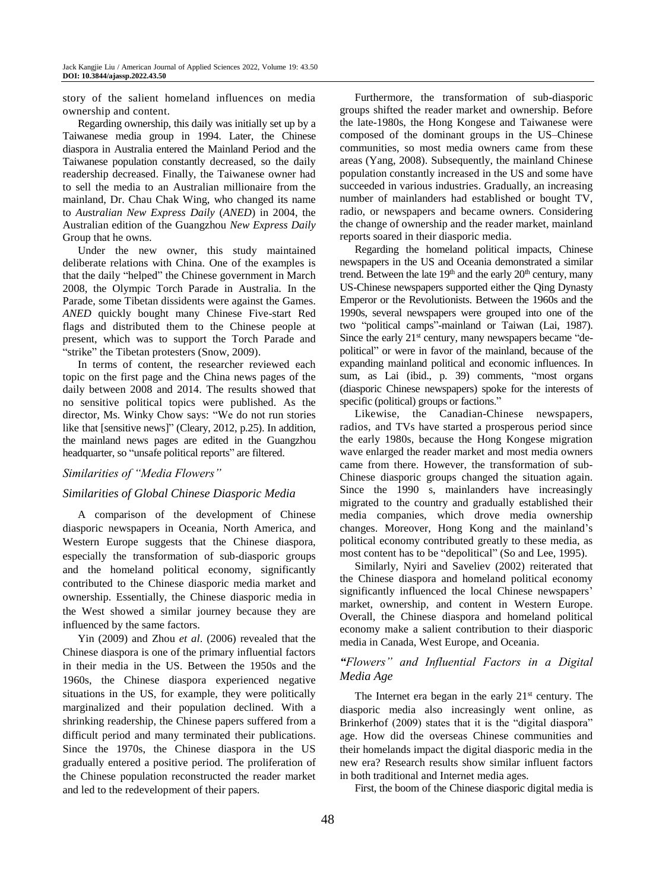story of the salient homeland influences on media ownership and content.

Regarding ownership, this daily was initially set up by a Taiwanese media group in 1994. Later, the Chinese diaspora in Australia entered the Mainland Period and the Taiwanese population constantly decreased, so the daily readership decreased. Finally, the Taiwanese owner had to sell the media to an Australian millionaire from the mainland, Dr. Chau Chak Wing, who changed its name to *Au*st*ralian New Express Daily* (*ANED*) in 2004, the Australian edition of the Guangzhou *New Express Daily* Group that he owns.

Under the new owner, this study maintained deliberate relations with China. One of the examples is that the daily "helped" the Chinese government in March 2008, the Olympic Torch Parade in Australia. In the Parade, some Tibetan dissidents were against the Games. *ANED* quickly bought many Chinese Five-start Red flags and distributed them to the Chinese people at present, which was to support the Torch Parade and "strike" the Tibetan protesters (Snow, 2009).

In terms of content, the researcher reviewed each topic on the first page and the China news pages of the daily between 2008 and 2014. The results showed that no sensitive political topics were published. As the director, Ms. Winky Chow says: "We do not run stories like that [sensitive news]" (Cleary, 2012, p.25). In addition, the mainland news pages are edited in the Guangzhou headquarter, so "unsafe political reports" are filtered.

## *Similarities of "Media Flowers"*

## *Similarities of Global Chinese Diasporic Media*

A comparison of the development of Chinese diasporic newspapers in Oceania, North America, and Western Europe suggests that the Chinese diaspora, especially the transformation of sub-diasporic groups and the homeland political economy, significantly contributed to the Chinese diasporic media market and ownership. Essentially, the Chinese diasporic media in the West showed a similar journey because they are influenced by the same factors.

Yin (2009) and Zhou *et al*. (2006) revealed that the Chinese diaspora is one of the primary influential factors in their media in the US. Between the 1950s and the 1960s, the Chinese diaspora experienced negative situations in the US, for example, they were politically marginalized and their population declined. With a shrinking readership, the Chinese papers suffered from a difficult period and many terminated their publications. Since the 1970s, the Chinese diaspora in the US gradually entered a positive period. The proliferation of the Chinese population reconstructed the reader market and led to the redevelopment of their papers.

Furthermore, the transformation of sub-diasporic groups shifted the reader market and ownership. Before the late-1980s, the Hong Kongese and Taiwanese were composed of the dominant groups in the US–Chinese communities, so most media owners came from these areas (Yang, 2008). Subsequently, the mainland Chinese population constantly increased in the US and some have succeeded in various industries. Gradually, an increasing number of mainlanders had established or bought TV, radio, or newspapers and became owners. Considering the change of ownership and the reader market, mainland reports soared in their diasporic media.

Regarding the homeland political impacts, Chinese newspapers in the US and Oceania demonstrated a similar trend. Between the late  $19<sup>th</sup>$  and the early  $20<sup>th</sup>$  century, many US-Chinese newspapers supported either the Qing Dynasty Emperor or the Revolutionists. Between the 1960s and the 1990s, several newspapers were grouped into one of the two "political camps"-mainland or Taiwan (Lai, 1987). Since the early  $21<sup>st</sup>$  century, many newspapers became "depolitical" or were in favor of the mainland, because of the expanding mainland political and economic influences. In sum, as Lai (ibid., p. 39) comments, "most organs (diasporic Chinese newspapers) spoke for the interests of specific (political) groups or factions."

Likewise, the Canadian-Chinese newspapers, radios, and TVs have started a prosperous period since the early 1980s, because the Hong Kongese migration wave enlarged the reader market and most media owners came from there. However, the transformation of sub-Chinese diasporic groups changed the situation again. Since the 1990 s, mainlanders have increasingly migrated to the country and gradually established their media companies, which drove media ownership changes. Moreover, Hong Kong and the mainland's political economy contributed greatly to these media, as most content has to be "depolitical" (So and Lee, 1995).

Similarly, Nyiri and Saveliev (2002) reiterated that the Chinese diaspora and homeland political economy significantly influenced the local Chinese newspapers' market, ownership, and content in Western Europe. Overall, the Chinese diaspora and homeland political economy make a salient contribution to their diasporic media in Canada, West Europe, and Oceania.

## *"Flowers" and Influential Factors in a Digital Media Age*

The Internet era began in the early  $21<sup>st</sup>$  century. The diasporic media also increasingly went online, as Brinkerhof (2009) states that it is the "digital diaspora" age. How did the overseas Chinese communities and their homelands impact the digital diasporic media in the new era? Research results show similar influent factors in both traditional and Internet media ages.

First, the boom of the Chinese diasporic digital media is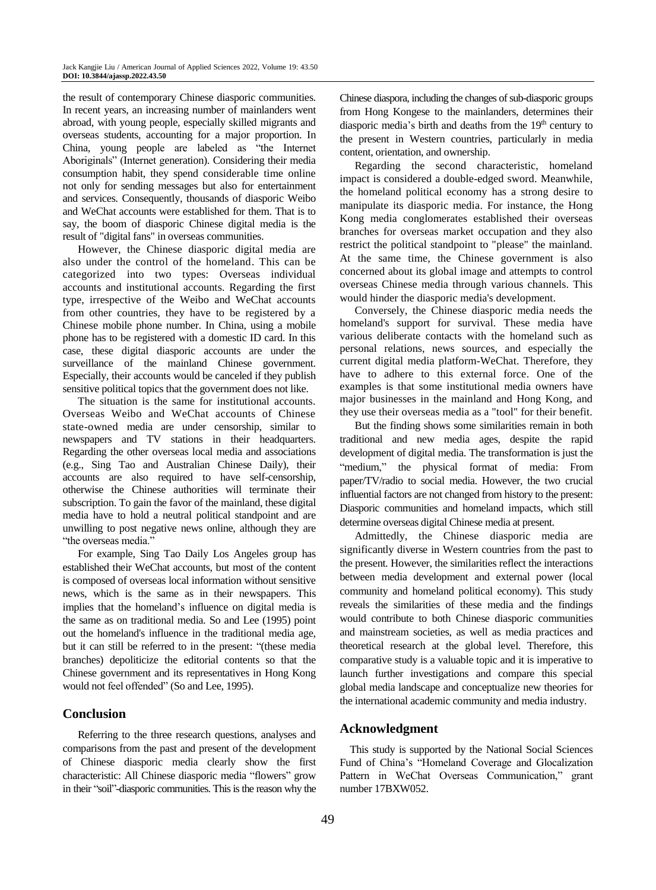the result of contemporary Chinese diasporic communities. In recent years, an increasing number of mainlanders went abroad, with young people, especially skilled migrants and overseas students, accounting for a major proportion. In China, young people are labeled as "the Internet Aboriginals" (Internet generation). Considering their media consumption habit, they spend considerable time online not only for sending messages but also for entertainment and services. Consequently, thousands of diasporic Weibo and WeChat accounts were established for them. That is to say, the boom of diasporic Chinese digital media is the result of "digital fans" in overseas communities.

However, the Chinese diasporic digital media are also under the control of the homeland. This can be categorized into two types: Overseas individual accounts and institutional accounts. Regarding the first type, irrespective of the Weibo and WeChat accounts from other countries, they have to be registered by a Chinese mobile phone number. In China, using a mobile phone has to be registered with a domestic ID card. In this case, these digital diasporic accounts are under the surveillance of the mainland Chinese government. Especially, their accounts would be canceled if they publish sensitive political topics that the government does not like.

The situation is the same for institutional accounts. Overseas Weibo and WeChat accounts of Chinese state-owned media are under censorship, similar to newspapers and TV stations in their headquarters. Regarding the other overseas local media and associations (e.g., Sing Tao and Australian Chinese Daily), their accounts are also required to have self-censorship, otherwise the Chinese authorities will terminate their subscription. To gain the favor of the mainland, these digital media have to hold a neutral political standpoint and are unwilling to post negative news online, although they are "the overseas media."

For example, Sing Tao Daily Los Angeles group has established their WeChat accounts, but most of the content is composed of overseas local information without sensitive news, which is the same as in their newspapers. This implies that the homeland's influence on digital media is the same as on traditional media. So and Lee (1995) point out the homeland's influence in the traditional media age, but it can still be referred to in the present: "(these media branches) depoliticize the editorial contents so that the Chinese government and its representatives in Hong Kong would not feel offended" (So and Lee, 1995).

# **Conclusion**

Referring to the three research questions, analyses and comparisons from the past and present of the development of Chinese diasporic media clearly show the first characteristic: All Chinese diasporic media "flowers" grow in their "soil"-diasporic communities. This is the reason why the Chinese diaspora, including the changes of sub-diasporic groups from Hong Kongese to the mainlanders, determines their diasporic media's birth and deaths from the 19<sup>th</sup> century to the present in Western countries, particularly in media content, orientation, and ownership.

Regarding the second characteristic, homeland impact is considered a double-edged sword. Meanwhile, the homeland political economy has a strong desire to manipulate its diasporic media. For instance, the Hong Kong media conglomerates established their overseas branches for overseas market occupation and they also restrict the political standpoint to "please" the mainland. At the same time, the Chinese government is also concerned about its global image and attempts to control overseas Chinese media through various channels. This would hinder the diasporic media's development.

Conversely, the Chinese diasporic media needs the homeland's support for survival. These media have various deliberate contacts with the homeland such as personal relations, news sources, and especially the current digital media platform-WeChat. Therefore, they have to adhere to this external force. One of the examples is that some institutional media owners have major businesses in the mainland and Hong Kong, and they use their overseas media as a "tool" for their benefit.

But the finding shows some similarities remain in both traditional and new media ages, despite the rapid development of digital media. The transformation is just the "medium," the physical format of media: From paper/TV/radio to social media. However, the two crucial influential factors are not changed from history to the present: Diasporic communities and homeland impacts, which still determine overseas digital Chinese media at present.

Admittedly, the Chinese diasporic media are significantly diverse in Western countries from the past to the present. However, the similarities reflect the interactions between media development and external power (local community and homeland political economy). This study reveals the similarities of these media and the findings would contribute to both Chinese diasporic communities and mainstream societies, as well as media practices and theoretical research at the global level. Therefore, this comparative study is a valuable topic and it is imperative to launch further investigations and compare this special global media landscape and conceptualize new theories for the international academic community and media industry.

## **Acknowledgment**

 This study is supported by the National Social Sciences Fund of China's "Homeland Coverage and Glocalization Pattern in WeChat Overseas Communication," grant number 17BXW052.